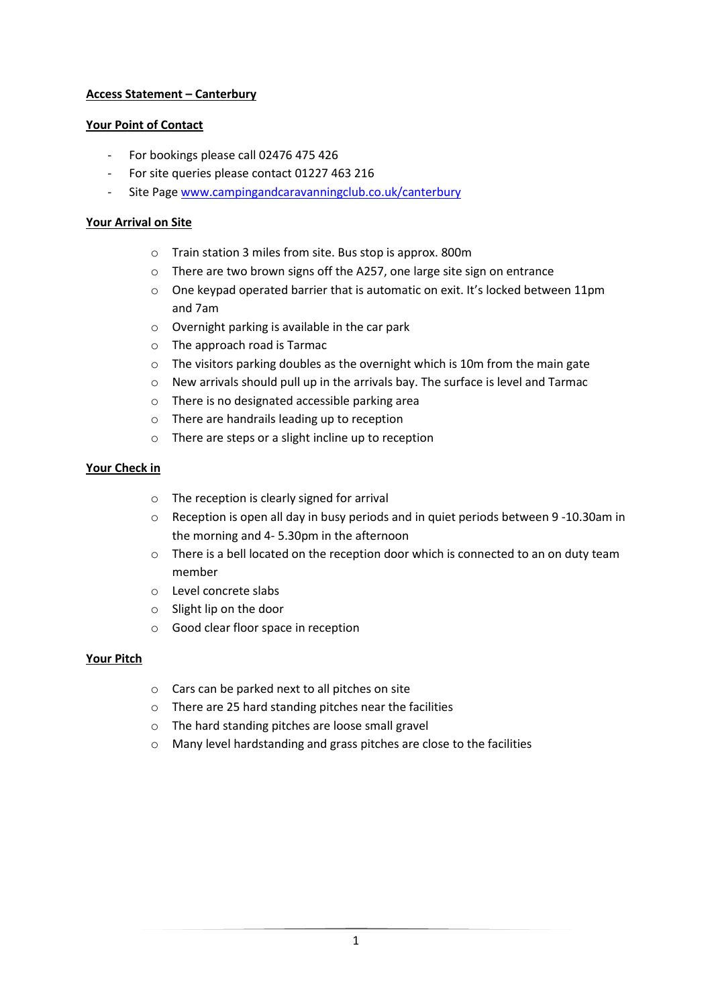# **Access Statement – Canterbury**

## **Your Point of Contact**

- For bookings please call 02476 475 426
- For site queries please contact 01227 463 216
- Site Page [www.campingandcaravanningclub.co.uk/canterbury](http://www.campingandcaravanningclub.co.uk/canterbury)

## **Your Arrival on Site**

- o Train station 3 miles from site. Bus stop is approx. 800m
- o There are two brown signs off the A257, one large site sign on entrance
- $\circ$  One keypad operated barrier that is automatic on exit. It's locked between 11pm and 7am
- o Overnight parking is available in the car park
- o The approach road is Tarmac
- o The visitors parking doubles as the overnight which is 10m from the main gate
- o New arrivals should pull up in the arrivals bay. The surface is level and Tarmac
- o There is no designated accessible parking area
- o There are handrails leading up to reception
- o There are steps or a slight incline up to reception

# **Your Check in**

- o The reception is clearly signed for arrival
- $\circ$  Reception is open all day in busy periods and in quiet periods between 9 -10.30am in the morning and 4- 5.30pm in the afternoon
- o There is a bell located on the reception door which is connected to an on duty team member
- o Level concrete slabs
- o Slight lip on the door
- o Good clear floor space in reception

### **Your Pitch**

- o Cars can be parked next to all pitches on site
- o There are 25 hard standing pitches near the facilities
- o The hard standing pitches are loose small gravel
- o Many level hardstanding and grass pitches are close to the facilities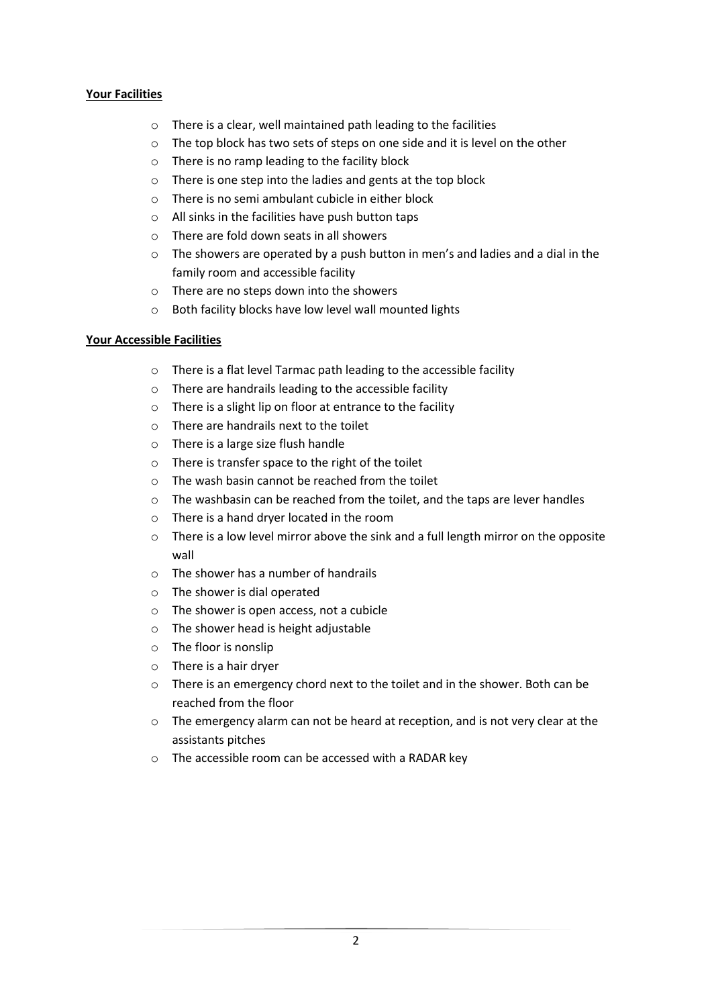# **Your Facilities**

- o There is a clear, well maintained path leading to the facilities
- $\circ$  The top block has two sets of steps on one side and it is level on the other
- o There is no ramp leading to the facility block
- o There is one step into the ladies and gents at the top block
- o There is no semi ambulant cubicle in either block
- o All sinks in the facilities have push button taps
- o There are fold down seats in all showers
- $\circ$  The showers are operated by a push button in men's and ladies and a dial in the family room and accessible facility
- o There are no steps down into the showers
- o Both facility blocks have low level wall mounted lights

# **Your Accessible Facilities**

- o There is a flat level Tarmac path leading to the accessible facility
- o There are handrails leading to the accessible facility
- o There is a slight lip on floor at entrance to the facility
- o There are handrails next to the toilet
- o There is a large size flush handle
- o There is transfer space to the right of the toilet
- $\circ$  The wash basin cannot be reached from the toilet
- $\circ$  The washbasin can be reached from the toilet, and the taps are lever handles
- o There is a hand dryer located in the room
- o There is a low level mirror above the sink and a full length mirror on the opposite wall
- o The shower has a number of handrails
- o The shower is dial operated
- o The shower is open access, not a cubicle
- o The shower head is height adjustable
- o The floor is nonslip
- o There is a hair dryer
- $\circ$  There is an emergency chord next to the toilet and in the shower. Both can be reached from the floor
- $\circ$  The emergency alarm can not be heard at reception, and is not very clear at the assistants pitches
- o The accessible room can be accessed with a RADAR key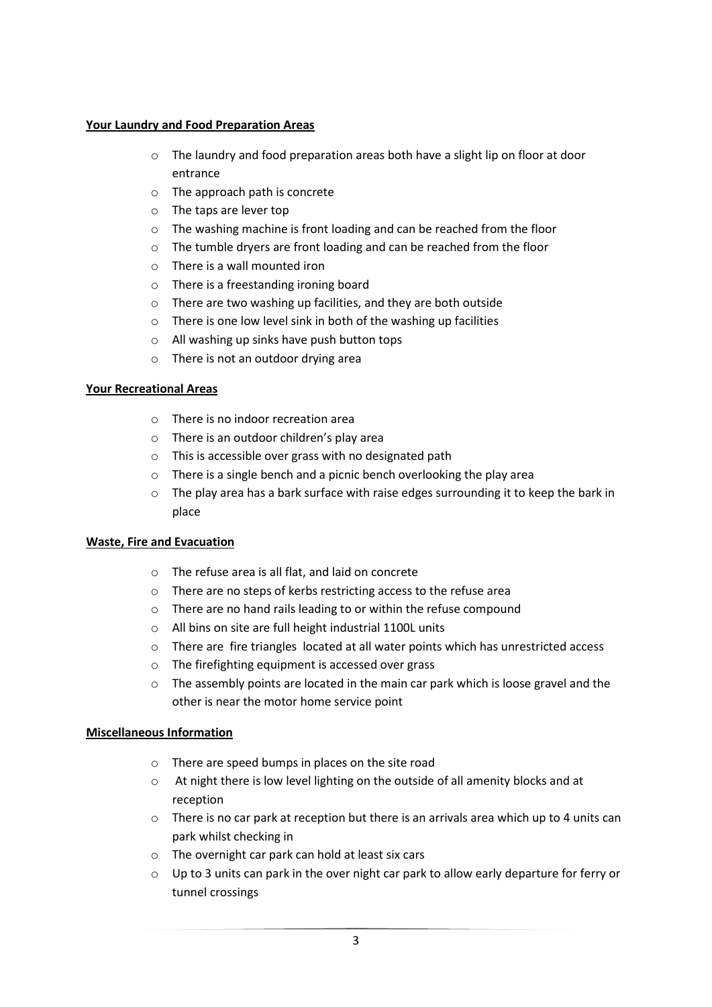### **Your Laundry and Food Preparation Areas**

- o The laundry and food preparation areas both have a slight lip on floor at door entrance
- o The approach path is concrete
- o The taps are lever top
- o The washing machine is front loading and can be reached from the floor
- o The tumble dryers are front loading and can be reached from the floor
- $\circ$  There is a wall mounted iron
- o There is a freestanding ironing board
- o There are two washing up facilities, and they are both outside
- $\circ$  There is one low level sink in both of the washing up facilities
- o All washing up sinks have push button tops
- o There is not an outdoor drying area

### **Your Recreational Areas**

- o There is no indoor recreation area
- o There is an outdoor children's play area
- o This is accessible over grass with no designated path
- o There is a single bench and a picnic bench overlooking the play area
- $\circ$  The play area has a bark surface with raise edges surrounding it to keep the bark in place

### **Waste, Fire and Evacuation**

- o The refuse area is all flat, and laid on concrete
- o There are no steps of kerbs restricting access to the refuse area
- o There are no hand rails leading to or within the refuse compound
- o All bins on site are full height industrial 1100L units
- o There are fire triangles located at all water points which has unrestricted access
- o The firefighting equipment is accessed over grass
- o The assembly points are located in the main car park which is loose gravel and the other is near the motor home service point

### **Miscellaneous Information**

- o There are speed bumps in places on the site road
- o At night there is low level lighting on the outside of all amenity blocks and at reception
- $\circ$  There is no car park at reception but there is an arrivals area which up to 4 units can park whilst checking in
- o The overnight car park can hold at least six cars
- o Up to 3 units can park in the over night car park to allow early departure for ferry or tunnel crossings